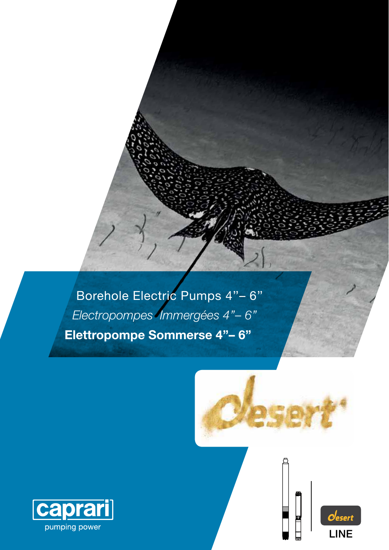Borehole Electric Pumps 4"-6" Electropompes Immergées 4"-6" Elettropompe Sommerse 4"-6"



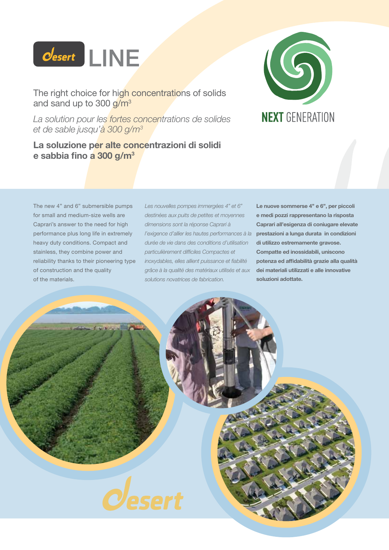

The right choice for high concentrations of solids and sand up to  $300 g/m<sup>3</sup>$ 

*La solution pour les fortes concentrations de solides et de sable jusqu'à 300 g/m<sup>3</sup>*

## **La soluzione per alte concentrazioni di solidi e sabbia fino a 300 g/m<sup>3</sup>**



The new 4" and 6" submersible pumps for small and medium-size wells are Caprari's answer to the need for high performance plus long life in extremely heavy duty conditions. Compact and stainless, they combine power and reliability thanks to their pioneering type of construction and the quality of the materials.

*Les nouvelles pompes immergées 4" et 6" destinées aux puits de petites et moyennes dimensions sont la réponse Caprari à l'exigence d'allier les hautes performances à la*  **prestazioni a lunga durata in condizioni**  *durée de vie dans des conditions d'utilisation particulièrement difficiles Compactes et inoxydables, elles allient puissance et fiabilité grâce à la qualité des matériaux utilisés et aux solutions novatrices de fabrication.*

**Le nuove sommerse 4'' e 6'', per piccoli e medi pozzi rappresentano la risposta Caprari all'esigenza di coniugare elevate di utilizzo estremamente gravose. Compatte ed inossidabili, uniscono potenza ed affidabilità grazie alla qualità dei materiali utilizzati e alle innovative soluzioni adottate.**

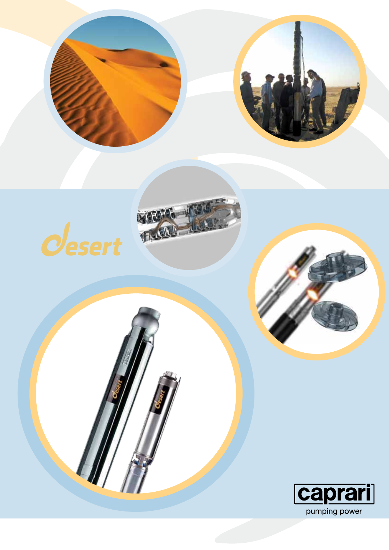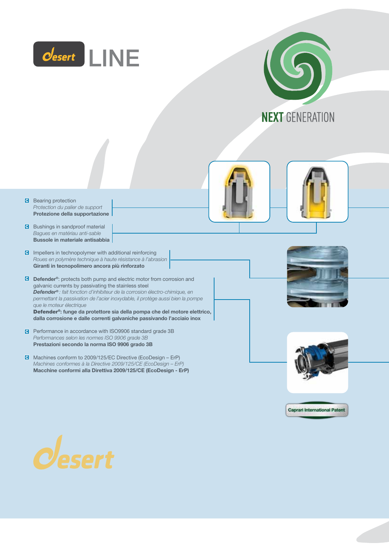



- **B** Bearing protection *Protection du palier de support* **Protezione della supportazione**
- **B** Bushings in sandproof material *Bagues en matériau anti-sable*  **Bussole in materiale antisabbia**
- $\blacksquare$  Impellers in technopolymer with additional reinforcing *Roues en polymère technique à haute résistance à l'abrasion* **Giranti in tecnopolimero ancora più rinforzato**
- **Defender®**: protects both pump and electric motor from corrosion and galvanic currents by passivating the stainless steel *Defender® : fait fonction d'inhibiteur de la corrosion électro-chimique, en permettant la passivation de l'acier inoxydable, il protège aussi bien la pompe que le moteur électrique* Defender®**: funge da protettore sia della pompa che del motore elettrico, dalla corrosione e dalle correnti galvaniche passivando l'acciaio inox**
- **P** Performance in accordance with ISO9906 standard grade 3B *Performances selon les normes ISO 9906 grade 3B* **Prestazioni secondo la norma ISO 9906 grado 3B**
- Machines conform to 2009/125/EC Directive (EcoDesign ErP) *Machines conformes à la Directive 2009/125/CE (EcoDesign – ErP)* **Macchine conformi alla Direttiva 2009/125/CE (EcoDesign - ErP)**









**Caprari International Patent** 

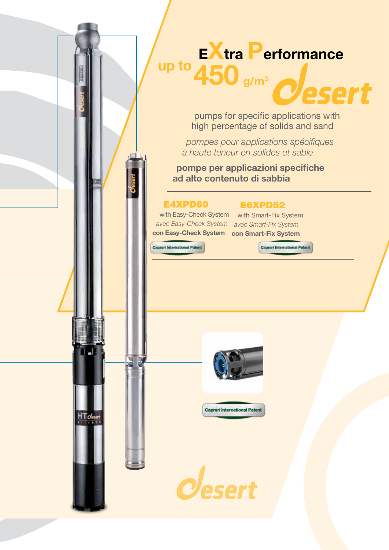# **<sup>E</sup>Xtra Performance g/m<sup>3</sup> up to450**

pumps for specific applications with high percentage of solids and sand

*pompes pour applications spécifiques à haute teneur en solides et sable*

**pompe per applicazioni specifiche ad alto contenuto di sabbia**

## E4XPD60

## E6XPD52

with Easy-Check System with Smart-Fix System *avec Easy-Check System avec Smart-Fix System*  **con Easy-Check System con Smart-Fix System**

Caprari International Patent

ام 1



Caprari International Patent



Caprari International Patent

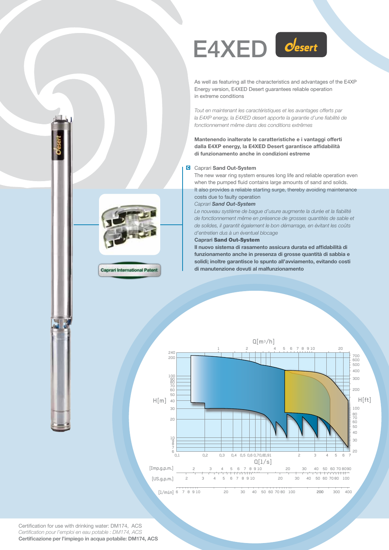

As well as featuring all the characteristics and advantages of the E4XP Energy version, E4XED Desert guarantees reliable operation in extreme conditions

*Tout en maintenant les caractéristiques et les avantages offerts par la E4XP energy, la E4XED desert apporte la garantie d'une fiabilité de fonctionnement même dans des conditions extrêmes*

**Mantenendo inalterate le caratteristiche e i vantaggi offerti dalla E4XP energy, la E4XED Desert garantisce affidabilità di funzionamento anche in condizioni estreme**

### Caprari **Sand Out-System**

The new wear ring system ensures long life and reliable operation even when the pumped fluid contains large amounts of sand and solids. It also provides a reliable starting surge, thereby avoiding maintenance costs due to faulty operation

#### *Caprari Sand Out-System*

*Le nouveau système de bague d'usure augmente la durée et la fiabilité de fonctionnement même en présence de grosses quantités de sable et de solides, il garantit également le bon démarrage, en évitant les coûts d'entretien dus à un éventuel blocage*

#### **Caprari** Sand Out-System

**Il nuovo sistema di rasamento assicura durata ed affidabilità di funzionamento anche in presenza di grosse quantità di sabbia e solidi; inoltre garantisce lo spunto all'avviamento, evitando costi di manutenzione dovuti al malfunzionamento**





Certification for use with drinking water: DM174, ACS *Certification pour l'emploi en eau potable : DM174, ACS*  **Certificazione per l'impiego in acqua potabile: DM174, ACS**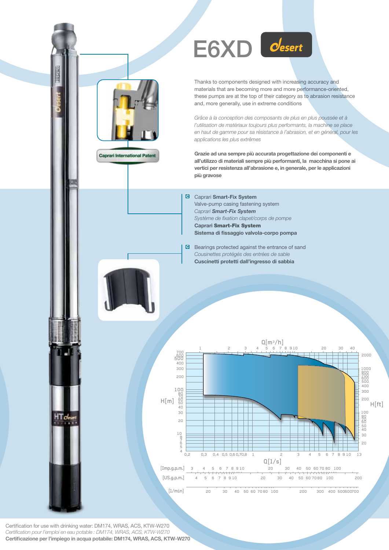

Thanks to components designed with increasing accuracy and materials that are becoming more and more performance-oriented, these pumps are at the top of their category as to abrasion resistance and, more generally, use in extreme conditions

*Grâce à la conception des composants de plus en plus poussée et à l'utilisation de matériaux toujours plus performants, la machine se place en haut de gamme pour sa résistance à l'abrasion, et en général, pour les applications les plus extrêmes*

**Grazie ad una sempre più accurata progettazione dei componenti e all'utilizzo di materiali sempre più performanti, la macchina si pone ai vertici per resistenza all'abrasione e, in generale, per le applicazioni più gravose**

Caprari **Smart-Fix System** Valve-pump casing fastening system *Caprari Smart-Fix System Système de fixation clapet/corps de pompe* **Caprari** Smart-Fix System **Sistema di fissaggio valvola-corpo pompa**

**B** Bearings protected against the entrance of sand *Cousinettes protégés des entrées de sable* **Cuscinetti protetti dall'ingresso di sabbia**



Certification for use with drinking water: DM174, WRAS, ACS, KTW-W270 *Certification pour l'emploi en eau potable : DM174, WRAS, ACS, KTW-W270*  **Certificazione per l'impiego in acqua potabile: DM174, WRAS, ACS, KTW-W270**

**Caprari International Patent**